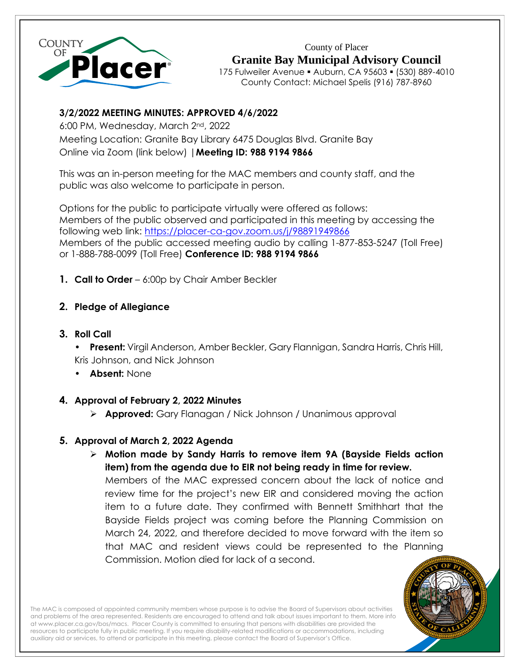

County of Placer **Granite Bay Municipal Advisory Council** 175 Fulweiler Avenue ▪ Auburn, CA 95603 ▪ (530) 889-4010 County Contact: Michael Spelis (916) 787-8960

## **3/2/2022 MEETING MINUTES: APPROVED 4/6/2022**

6:00 PM, Wednesday, March 2nd, 2022

Meeting Location: Granite Bay Library 6475 Douglas Blvd. Granite Bay Online via Zoom (link below) |**Meeting ID: 988 9194 9866**

This was an in-person meeting for the MAC members and county staff, and the public was also welcome to participate in person.

Options for the public to participate virtually were offered as follows: Members of the public observed and participated in this meeting by accessing the following web link:<https://placer-ca-gov.zoom.us/j/98891949866> Members of the public accessed meeting audio by calling 1-877-853-5247 (Toll Free) or 1-888-788-0099 (Toll Free) **Conference ID: 988 9194 9866**

- **1. Call to Order**  6:00p by Chair Amber Beckler
- **2. Pledge of Allegiance**
- **3. Roll Call**

**• Present:** Virgil Anderson, Amber Beckler, Gary Flannigan, Sandra Harris, Chris Hill, Kris Johnson, and Nick Johnson

- **• Absent:** None
- **4. Approval of February 2, 2022 Minutes** 
	- ➢ **Approved:** Gary Flanagan / Nick Johnson / Unanimous approval

# **5. Approval of March 2, 2022 Agenda**

➢ **Motion made by Sandy Harris to remove item 9A (Bayside Fields action item) from the agenda due to EIR not being ready in time for review.** Members of the MAC expressed concern about the lack of notice and review time for the project's new EIR and considered moving the action item to a future date. They confirmed with Bennett Smithhart that the Bayside Fields project was coming before the Planning Commission on March 24, 2022, and therefore decided to move forward with the item so that MAC and resident views could be represented to the Planning Commission. Motion died for lack of a second.



The MAC is composed of appointed community members whose purpose is to advise the Board of Supervisors about activities and problems of the area represented. Residents are encouraged to attend and talk about issues important to them. More info a[t www.placer.ca.gov/bos/macs.](http://www.placer.ca.gov/bos/macs) Placer County is committed to ensuring that persons with disabilities are provided the resources to participate fully in public meeting. If you require disability-related modifications or accommodations, including auxiliary aid or services, to attend or participate in this meeting, please contact the Board of Supervisor's Office.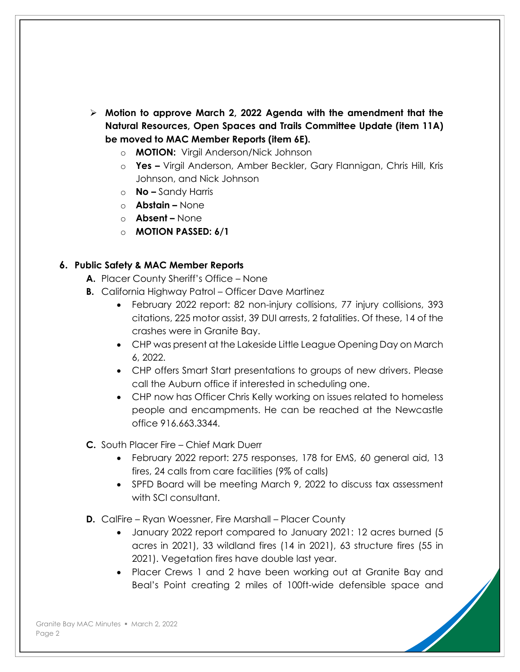- ➢ **Motion to approve March 2, 2022 Agenda with the amendment that the Natural Resources, Open Spaces and Trails Committee Update (item 11A) be moved to MAC Member Reports (item 6E).**
	- o **MOTION:** Virgil Anderson/Nick Johnson
	- o **Yes –** Virgil Anderson, Amber Beckler, Gary Flannigan, Chris Hill, Kris Johnson, and Nick Johnson
	- o **No –** Sandy Harris
	- o **Abstain –** None
	- o **Absent –** None
	- o **MOTION PASSED: 6/1**

#### **6. Public Safety & MAC Member Reports**

- **A.** Placer County Sheriff's Office None
- **B.** California Highway Patrol Officer Dave Martinez
	- February 2022 report: 82 non-injury collisions, 77 injury collisions, 393 citations, 225 motor assist, 39 DUI arrests, 2 fatalities. Of these, 14 of the crashes were in Granite Bay.
	- CHP was present at the Lakeside Little League Opening Day on March 6, 2022.
	- CHP offers Smart Start presentations to groups of new drivers. Please call the Auburn office if interested in scheduling one.
	- CHP now has Officer Chris Kelly working on issues related to homeless people and encampments. He can be reached at the Newcastle office 916.663.3344.

**C.** South Placer Fire – Chief Mark Duerr

- February 2022 report: 275 responses, 178 for EMS, 60 general aid, 13 fires, 24 calls from care facilities (9% of calls)
- SPFD Board will be meeting March 9, 2022 to discuss tax assessment with SCI consultant.
- **D.** CalFire Ryan Woessner, Fire Marshall Placer County
	- January 2022 report compared to January 2021: 12 acres burned (5 acres in 2021), 33 wildland fires (14 in 2021), 63 structure fires (55 in 2021). Vegetation fires have double last year.
	- Placer Crews 1 and 2 have been working out at Granite Bay and Beal's Point creating 2 miles of 100ft-wide defensible space and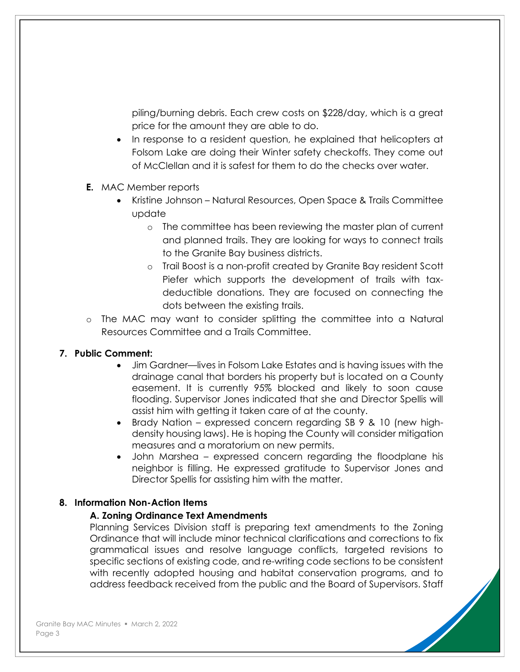piling/burning debris. Each crew costs on \$228/day, which is a great price for the amount they are able to do.

- In response to a resident question, he explained that helicopters at Folsom Lake are doing their Winter safety checkoffs. They come out of McClellan and it is safest for them to do the checks over water.
- **E.** MAC Member reports
	- Kristine Johnson Natural Resources, Open Space & Trails Committee update
		- o The committee has been reviewing the master plan of current and planned trails. They are looking for ways to connect trails to the Granite Bay business districts.
		- o Trail Boost is a non-profit created by Granite Bay resident Scott Piefer which supports the development of trails with taxdeductible donations. They are focused on connecting the dots between the existing trails.
- o The MAC may want to consider splitting the committee into a Natural Resources Committee and a Trails Committee.

#### **7. Public Comment:**

- Jim Gardner—lives in Folsom Lake Estates and is having issues with the drainage canal that borders his property but is located on a County easement. It is currently 95% blocked and likely to soon cause flooding. Supervisor Jones indicated that she and Director Spellis will assist him with getting it taken care of at the county.
- Brady Nation expressed concern regarding SB 9 & 10 (new highdensity housing laws). He is hoping the County will consider mitigation measures and a moratorium on new permits.
- John Marshea expressed concern regarding the floodplane his neighbor is filling. He expressed gratitude to Supervisor Jones and Director Spellis for assisting him with the matter.

## **8. Information Non-Action Items**

#### **A. Zoning Ordinance Text Amendments**

Planning Services Division staff is preparing text amendments to the Zoning Ordinance that will include minor technical clarifications and corrections to fix grammatical issues and resolve language conflicts, targeted revisions to specific sections of existing code, and re-writing code sections to be consistent with recently adopted housing and habitat conservation programs, and to address feedback received from the public and the Board of Supervisors. Staff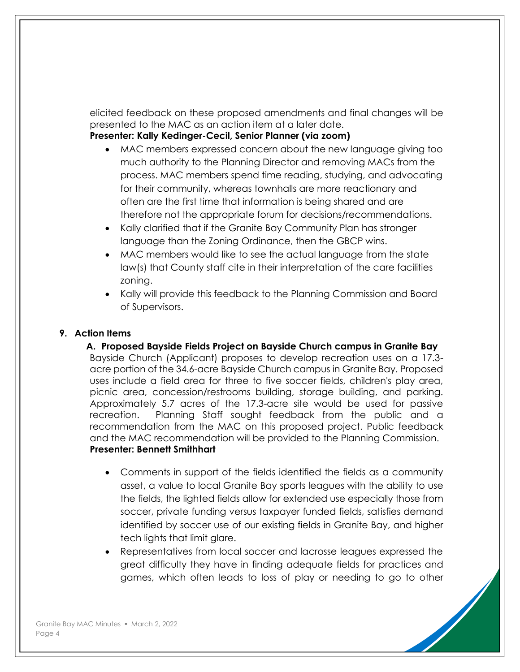elicited feedback on these proposed amendments and final changes will be presented to the MAC as an action item at a later date.

**Presenter: Kally Kedinger-Cecil, Senior Planner (via zoom)**

- MAC members expressed concern about the new language giving too much authority to the Planning Director and removing MACs from the process. MAC members spend time reading, studying, and advocating for their community, whereas townhalls are more reactionary and often are the first time that information is being shared and are therefore not the appropriate forum for decisions/recommendations.
- Kally clarified that if the Granite Bay Community Plan has stronger language than the Zoning Ordinance, then the GBCP wins.
- MAC members would like to see the actual language from the state law(s) that County staff cite in their interpretation of the care facilities zoning.
- Kally will provide this feedback to the Planning Commission and Board of Supervisors.

#### **9. Action Items**

**A. Proposed Bayside Fields Project on Bayside Church campus in Granite Bay** Bayside Church (Applicant) proposes to develop recreation uses on a 17.3 acre portion of the 34.6-acre Bayside Church campus in Granite Bay. Proposed uses include a field area for three to five soccer fields, children's play area, picnic area, concession/restrooms building, storage building, and parking. Approximately 5.7 acres of the 17.3-acre site would be used for passive recreation. Planning Staff sought feedback from the public and a recommendation from the MAC on this proposed project. Public feedback and the MAC recommendation will be provided to the Planning Commission. **Presenter: Bennett Smithhart**

- Comments in support of the fields identified the fields as a community asset, a value to local Granite Bay sports leagues with the ability to use the fields, the lighted fields allow for extended use especially those from soccer, private funding versus taxpayer funded fields, satisfies demand identified by soccer use of our existing fields in Granite Bay, and higher tech lights that limit glare.
- Representatives from local soccer and lacrosse leagues expressed the great difficulty they have in finding adequate fields for practices and games, which often leads to loss of play or needing to go to other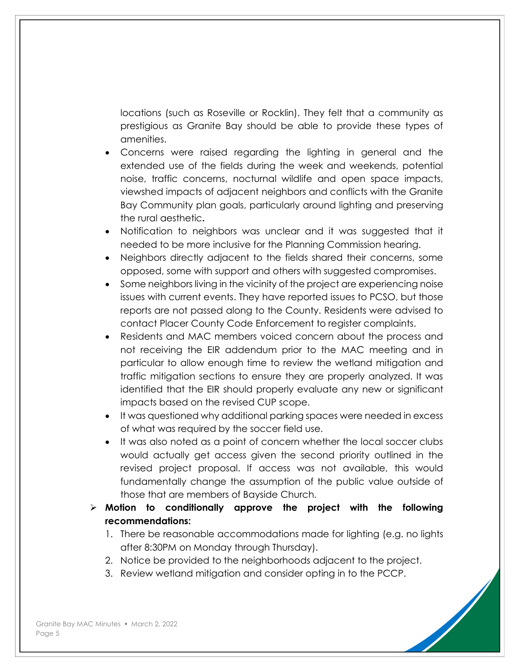locations (such as Roseville or Rocklin). They felt that a community as prestigious as Granite Bay should be able to provide these types of amenities.

- Concerns were raised regarding the lighting in general and the extended use of the fields during the week and weekends, potential noise, traffic concerns, nocturnal wildlife and open space impacts, viewshed impacts of adjacent neighbors and conflicts with the Granite Bay Community plan goals, particularly around lighting and preserving the rural aesthetic**.**
- Notification to neighbors was unclear and it was suggested that it needed to be more inclusive for the Planning Commission hearing.
- Neighbors directly adjacent to the fields shared their concerns, some opposed, some with support and others with suggested compromises.
- Some neighbors living in the vicinity of the project are experiencing noise issues with current events. They have reported issues to PCSO, but those reports are not passed along to the County. Residents were advised to contact Placer County Code Enforcement to register complaints.
- Residents and MAC members voiced concern about the process and not receiving the EIR addendum prior to the MAC meeting and in particular to allow enough time to review the wetland mitigation and traffic mitigation sections to ensure they are properly analyzed. It was identified that the EIR should properly evaluate any new or significant impacts based on the revised CUP scope.
- It was questioned why additional parking spaces were needed in excess of what was required by the soccer field use.
- It was also noted as a point of concern whether the local soccer clubs would actually get access given the second priority outlined in the revised project proposal. If access was not available, this would fundamentally change the assumption of the public value outside of those that are members of Bayside Church.
- ➢ **Motion to conditionally approve the project with the following recommendations:**
	- 1. There be reasonable accommodations made for lighting (e.g. no lights after 8:30PM on Monday through Thursday).
	- 2. Notice be provided to the neighborhoods adjacent to the project.
	- 3. Review wetland mitigation and consider opting in to the PCCP.